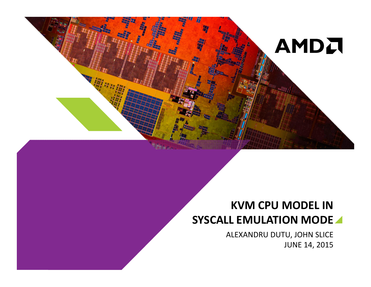

# KVM CPU MODEL IN SYSCALL EMULATION MODE

 ALEXANDRU DUTU, JOHN SLICEJUNE 14, 2015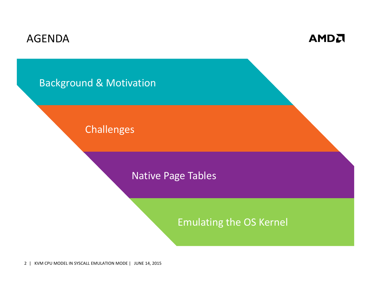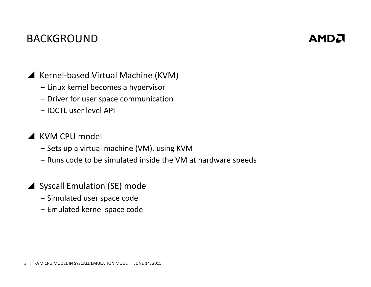# BACKGROUND

# **AMDA**

▲ Kernel-based Virtual Machine (KVM)

- ‒ Linux kernel becomes a hypervisor
- ‒ Driver for user space communication
- ‒ IOCTL user level API

# KVM CPU model

- ‒ Sets up a virtual machine (VM), using KVM
- ‒ Runs code to be simulated inside the VM at hardware speeds
- Syscall Emulation (SE) mode
	- ‒ Simulated user space code
	- ‒ Emulated kernel space code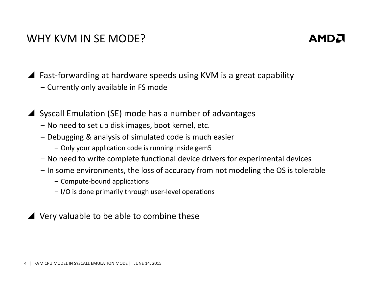#### WHY KVM IN SE MODE?

# AMDA

▲ Fast-forwarding at hardware speeds using KVM is a great capability

- ‒ Currently only available in FS mode
- Syscall Emulation (SE) mode has a number of advantages
	- ‒ No need to set up disk images, boot kernel, etc.
	- ‒ Debugging & analysis of simulated code is much easier
		- $-$  Only your application code is running inside gem ${\bf 5}$
	- ‒ No need to write complete functional device drivers for experimental devices
	- ‒ In some environments, the loss of accuracy from not modeling the OS is tolerable
		- ‒ Compute-bound applications
		- ‒ I/O is done primarily through user-level operations

# Very valuable to be able to combine these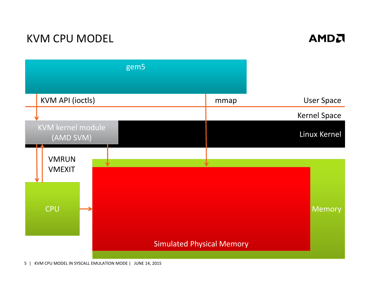# KVM CPU MODEL





5| KVM CPU MODEL IN SYSCALL EMULATION MODE | JUNE 14, 2015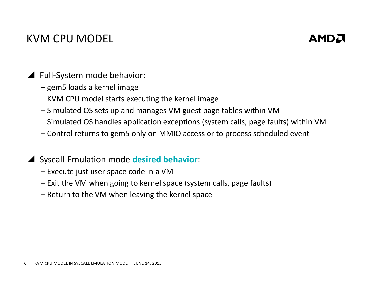# KVM CPU MODEL

# **AMDA**

- ▲ Full-System mode behavior:
	- ‒ gem5 loads a kernel image
	- ‒ KVM CPU model starts executing the kernel image
	- ‒ Simulated OS sets up and manages VM guest page tables within VM
	- ‒ Simulated OS handles application exceptions (system calls, page faults) within VM
	- ‒ Control returns to gem5 only on MMIO access or to process scheduled event
- Syscall-Emulation mode desired behavior:
	- ‒ Execute just user space code in a VM
	- ‒ Exit the VM when going to kernel space (system calls, page faults)
	- ‒ Return to the VM when leaving the kernel space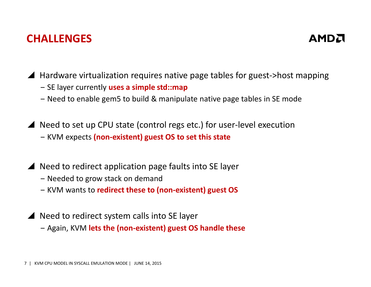### CHALLENGES

# **AMDA**

▲ Hardware virtualization requires native page tables for guest->host mapping<br>SE laver avrightly uses a simple strumers

- SE layer currently **uses a simple std::map**
- ‒ Need to enable gem5 to build & manipulate native page tables in SE mode

 $\blacktriangle$  Need to set up CPU state (control regs etc.) for user-level execution – KVM expects <mark>(non-existent) guest OS to set this state</mark>

▲ Need to redirect application page faults into SE layer

- ‒ Needed to grow stack on demand
- ‒ KVM wants to redirect these to (non-existent) guest OS
- ▲ Need to redirect system calls into SE layer
	- ‒ Again, KVM lets the (non-existent) guest OS handle these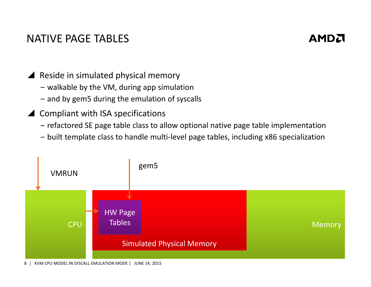### NATIVE PAGE TABLES

### **AMDA**

- Reside in simulated physical memory
	- ‒ walkable by the VM, during app simulation
	- ‒ and by gem5 during the emulation of syscalls
- ▲ Compliant with ISA specifications
	- ‒ refactored SE page table class to allow optional native page table implementation
	- ‒ built template class to handle multi-level page tables, including x86 specialization



8| KVM CPU MODEL IN SYSCALL EMULATION MODE | JUNE 14, 2015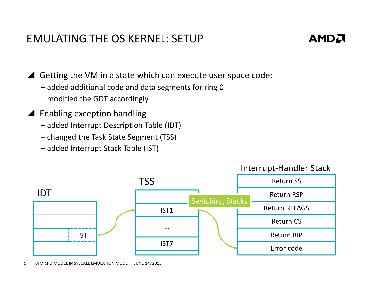### EMULATING THE OS KERNEL: SETUP



 $\blacktriangle$  Getting the VM in a state which can execute user space code:

- ‒ added additional code and data segments for ring 0
- ‒ modified the GDT accordingly
- ▲ Enabling exception handling
	- ‒ added Interrupt Description Table (IDT)
	- ‒ changed the Task State Segment (TSS)
	- ‒ added Interrupt Stack Table (IST)





9| KVM CPU MODEL IN SYSCALL EMULATION MODE | JUNE 14, 2015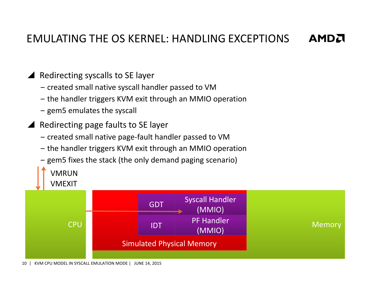#### EMULATING THE OS KERNEL: HANDLING EXCEPTIONS**AMDA**

# Redirecting syscalls to SE layer

- ‒ created small native syscall handler passed to VM
- ‒ the handler triggers KVM exit through an MMIO operation
- ‒ gem5 emulates the syscall

VMRUN

- Redirecting page faults to SE layer
	- ‒ created small native page-fault handler passed to VM
	- ‒ the handler triggers KVM exit through an MMIO operation
	- ‒ gem5 fixes the stack (the only demand paging scenario)

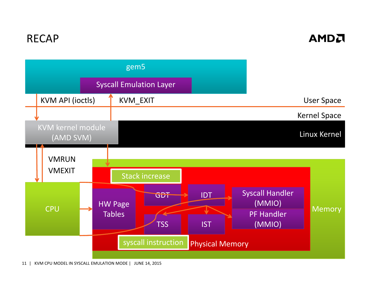# RECAP

#### **AMDA**



11| KVM CPU MODEL IN SYSCALL EMULATION MODE | JUNE 14, 2015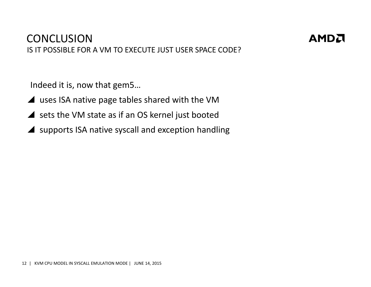# **CONCLUSION**

IS IT POSSIBLE FOR A VM TO EXECUTE JUST USER SPACE CODE?

AMDA

Indeed it is, now that gem5…

- ▲ uses ISA native page tables shared with the VM
- sets the VM state as if an OS kernel just booted
- supports ISA native syscall and exception handling